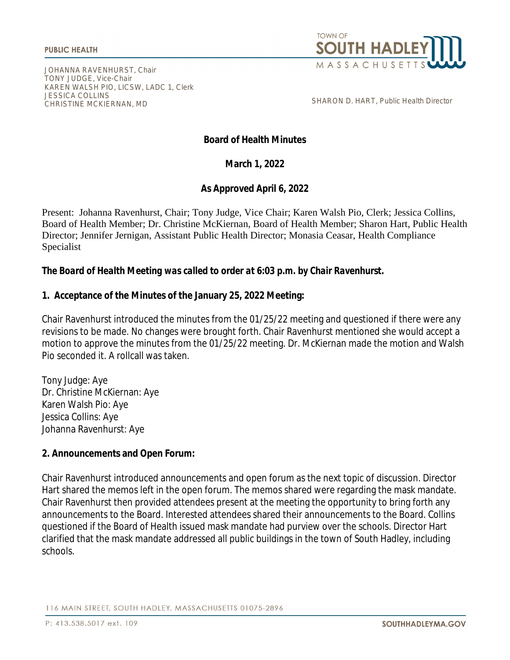

JOHANNA RAVENHURST, Chair TONY JUDGE, Vice-Chair KAREN WALSH PIO, LICSW, LADC 1, Clerk JESSICA COLLINS CHRISTINE MCKIERNAN, MD

SHARON D. HART, Public Health Director

## **Board of Health Minutes**

**March 1, 2022**

**As Approved April 6, 2022**

Present: Johanna Ravenhurst, Chair; Tony Judge, Vice Chair; Karen Walsh Pio, Clerk; Jessica Collins, Board of Health Member; Dr. Christine McKiernan, Board of Health Member; Sharon Hart, Public Health Director; Jennifer Jernigan, Assistant Public Health Director; Monasia Ceasar, Health Compliance Specialist

#### *The Board of Health Meeting was called to order at 6:03 p.m. by Chair Ravenhurst.*

#### **1. Acceptance of the Minutes of the January 25, 2022 Meeting:**

Chair Ravenhurst introduced the minutes from the 01/25/22 meeting and questioned if there were any revisions to be made. No changes were brought forth. Chair Ravenhurst mentioned she would accept a motion to approve the minutes from the 01/25/22 meeting. Dr. McKiernan made the motion and Walsh Pio seconded it. A rollcall was taken.

Tony Judge: Aye Dr. Christine McKiernan: Aye Karen Walsh Pio: Aye Jessica Collins: Aye Johanna Ravenhurst: Aye

## **2. Announcements and Open Forum:**

Chair Ravenhurst introduced announcements and open forum as the next topic of discussion. Director Hart shared the memos left in the open forum. The memos shared were regarding the mask mandate. Chair Ravenhurst then provided attendees present at the meeting the opportunity to bring forth any announcements to the Board. Interested attendees shared their announcements to the Board. Collins questioned if the Board of Health issued mask mandate had purview over the schools. Director Hart clarified that the mask mandate addressed all public buildings in the town of South Hadley, including schools.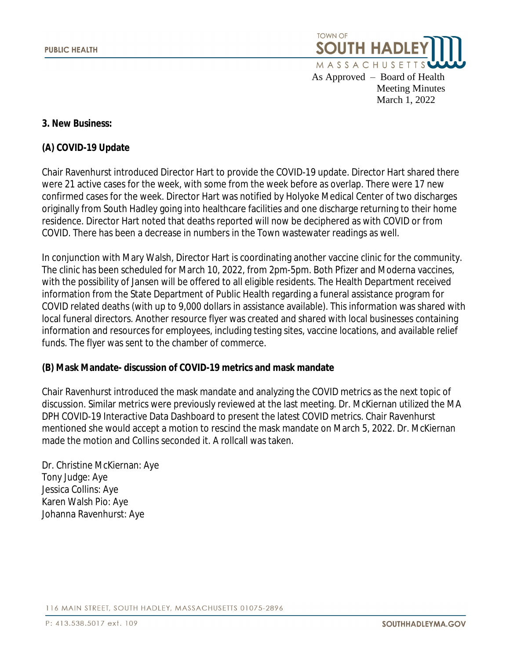

 Meeting Minutes March 1, 2022

#### **3. New Business:**

#### **(A) COVID-19 Update**

Chair Ravenhurst introduced Director Hart to provide the COVID-19 update. Director Hart shared there were 21 active cases for the week, with some from the week before as overlap. There were 17 new confirmed cases for the week. Director Hart was notified by Holyoke Medical Center of two discharges originally from South Hadley going into healthcare facilities and one discharge returning to their home residence. Director Hart noted that deaths reported will now be deciphered as with COVID or from COVID. There has been a decrease in numbers in the Town wastewater readings as well.

In conjunction with Mary Walsh, Director Hart is coordinating another vaccine clinic for the community. The clinic has been scheduled for March 10, 2022, from 2pm-5pm. Both Pfizer and Moderna vaccines, with the possibility of Jansen will be offered to all eligible residents. The Health Department received information from the State Department of Public Health regarding a funeral assistance program for COVID related deaths (with up to 9,000 dollars in assistance available). This information was shared with local funeral directors. Another resource flyer was created and shared with local businesses containing information and resources for employees, including testing sites, vaccine locations, and available relief funds. The flyer was sent to the chamber of commerce.

## **(B) Mask Mandate- discussion of COVID-19 metrics and mask mandate**

Chair Ravenhurst introduced the mask mandate and analyzing the COVID metrics as the next topic of discussion. Similar metrics were previously reviewed at the last meeting. Dr. McKiernan utilized the MA DPH COVID-19 Interactive Data Dashboard to present the latest COVID metrics. Chair Ravenhurst mentioned she would accept a motion to rescind the mask mandate on March 5, 2022. Dr. McKiernan made the motion and Collins seconded it. A rollcall was taken.

Dr. Christine McKiernan: Aye Tony Judge: Aye Jessica Collins: Aye Karen Walsh Pio: Aye Johanna Ravenhurst: Aye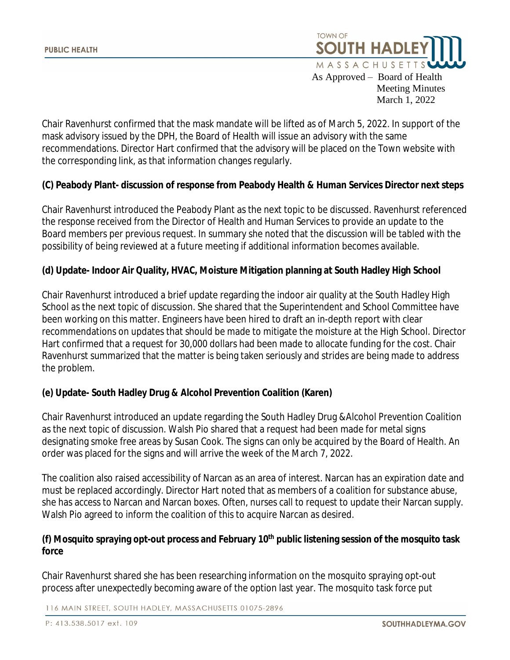

As Approved – Board of Health Meeting Minutes March 1, 2022

Chair Ravenhurst confirmed that the mask mandate will be lifted as of March 5, 2022. In support of the mask advisory issued by the DPH, the Board of Health will issue an advisory with the same recommendations. Director Hart confirmed that the advisory will be placed on the Town website with the corresponding link, as that information changes regularly.

## **(C) Peabody Plant- discussion of response from Peabody Health & Human Services Director next steps**

Chair Ravenhurst introduced the Peabody Plant as the next topic to be discussed. Ravenhurst referenced the response received from the Director of Health and Human Services to provide an update to the Board members per previous request. In summary she noted that the discussion will be tabled with the possibility of being reviewed at a future meeting if additional information becomes available.

## **(d) Update- Indoor Air Quality, HVAC, Moisture Mitigation planning at South Hadley High School**

Chair Ravenhurst introduced a brief update regarding the indoor air quality at the South Hadley High School as the next topic of discussion. She shared that the Superintendent and School Committee have been working on this matter. Engineers have been hired to draft an in-depth report with clear recommendations on updates that should be made to mitigate the moisture at the High School. Director Hart confirmed that a request for 30,000 dollars had been made to allocate funding for the cost. Chair Ravenhurst summarized that the matter is being taken seriously and strides are being made to address the problem.

## **(e) Update- South Hadley Drug & Alcohol Prevention Coalition (Karen)**

Chair Ravenhurst introduced an update regarding the South Hadley Drug &Alcohol Prevention Coalition as the next topic of discussion. Walsh Pio shared that a request had been made for metal signs designating smoke free areas by Susan Cook. The signs can only be acquired by the Board of Health. An order was placed for the signs and will arrive the week of the March 7, 2022.

The coalition also raised accessibility of Narcan as an area of interest. Narcan has an expiration date and must be replaced accordingly. Director Hart noted that as members of a coalition for substance abuse, she has access to Narcan and Narcan boxes. Often, nurses call to request to update their Narcan supply. Walsh Pio agreed to inform the coalition of this to acquire Narcan as desired.

# **(f) Mosquito spraying opt-out process and February 10th public listening session of the mosquito task force**

Chair Ravenhurst shared she has been researching information on the mosquito spraying opt-out process after unexpectedly becoming aware of the option last year. The mosquito task force put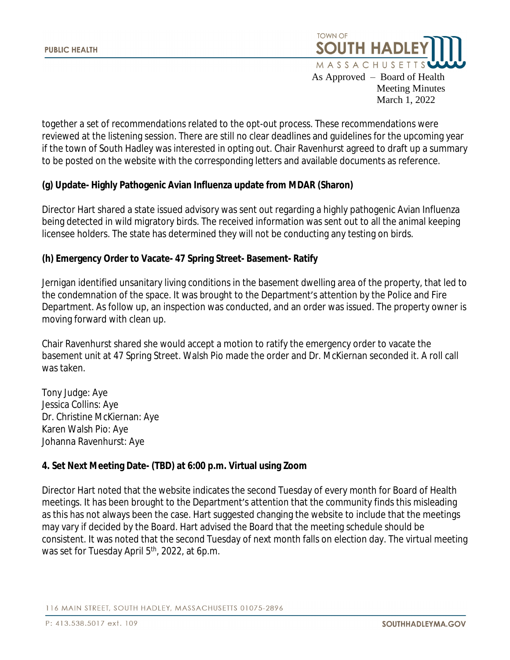

As Approved – Board of Health Meeting Minutes March 1, 2022

together a set of recommendations related to the opt-out process. These recommendations were reviewed at the listening session. There are still no clear deadlines and guidelines for the upcoming year if the town of South Hadley was interested in opting out. Chair Ravenhurst agreed to draft up a summary to be posted on the website with the corresponding letters and available documents as reference.

## **(g) Update- Highly Pathogenic Avian Influenza update from MDAR (Sharon)**

Director Hart shared a state issued advisory was sent out regarding a highly pathogenic Avian Influenza being detected in wild migratory birds. The received information was sent out to all the animal keeping licensee holders. The state has determined they will not be conducting any testing on birds.

#### **(h) Emergency Order to Vacate- 47 Spring Street- Basement- Ratify**

Jernigan identified unsanitary living conditions in the basement dwelling area of the property, that led to the condemnation of the space. It was brought to the Department's attention by the Police and Fire Department. As follow up, an inspection was conducted, and an order was issued. The property owner is moving forward with clean up.

Chair Ravenhurst shared she would accept a motion to ratify the emergency order to vacate the basement unit at 47 Spring Street. Walsh Pio made the order and Dr. McKiernan seconded it. A roll call was taken.

Tony Judge: Aye Jessica Collins: Aye Dr. Christine McKiernan: Aye Karen Walsh Pio: Aye Johanna Ravenhurst: Aye

## **4. Set Next Meeting Date- (TBD) at 6:00 p.m. Virtual using Zoom**

Director Hart noted that the website indicates the second Tuesday of every month for Board of Health meetings. It has been brought to the Department's attention that the community finds this misleading as this has not always been the case. Hart suggested changing the website to include that the meetings may vary if decided by the Board. Hart advised the Board that the meeting schedule should be consistent. It was noted that the second Tuesday of next month falls on election day. The virtual meeting was set for Tuesday April 5<sup>th</sup>, 2022, at 6p.m.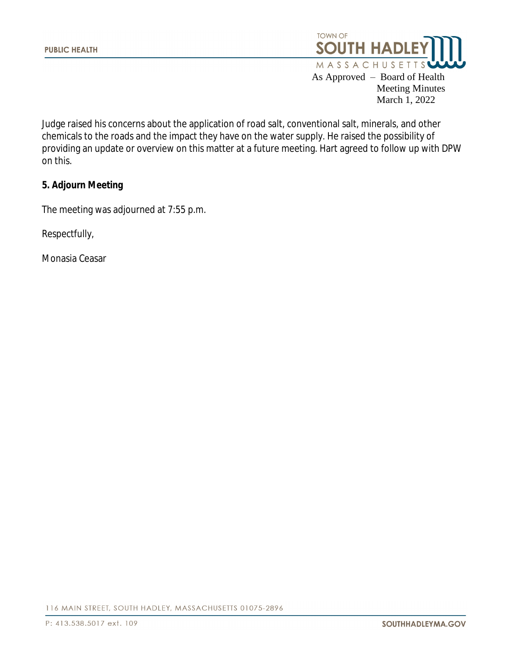

March 1, 2022

Judge raised his concerns about the application of road salt, conventional salt, minerals, and other chemicals to the roads and the impact they have on the water supply. He raised the possibility of providing an update or overview on this matter at a future meeting. Hart agreed to follow up with DPW on this.

#### **5. Adjourn Meeting**

The meeting was adjourned at 7:55 p.m.

Respectfully,

Monasia Ceasar